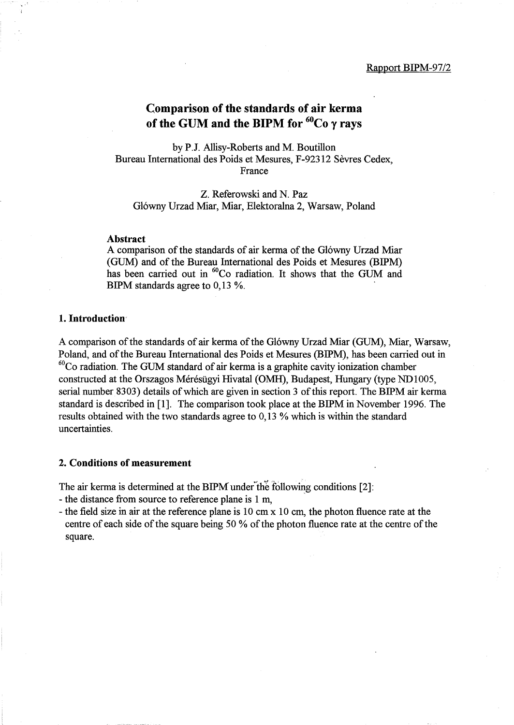# Comparison of the standards of air kerma of the GUM and the BIPM for  ${}^{60}Co$   $\gamma$  rays

by P.J. Allisy-Roberts and M. Boutillon Bureau International des Poids et Mesures, F-92312 Sevres Cedex, France

Z. Referowski and N. paz Gl6wny Urzad Miar, Miar, Elektoralna 2, Warsaw, Poland

#### Abstract

A comparison of the standards of air kerma of the Glówny Urzad Miar (GUM) and of the Bureau International des Poids et Mesures (BIPM) has been carried out in <sup>60</sup>Co radiation. It shows that the GUM and BIPM standards agree to 0,13 %.

#### 1. Introduction

A comparison of the standards of air kerma of the Glówny Urzad Miar (GUM), Miar, Warsaw, Poland, and of the Bureau International des Poids et Mesures (BIPM), has been carried out in  $60^{\circ}$ Co radiation. The GUM standard of air kerma is a graphite cavity ionization chamber constructed at the Orszagos Mérésügyi Hivatal (OMH), Budapest, Hungary (type ND1005, serial number 8303) details of which are given in section 3 of this report. The BIPM air kerma standard is described in [1]. The comparison took place at the BIPM in November 1996. The results obtained with the two standards agree to 0,13 % which is within the standard uncertainties.

#### 2. Conditions of measurement

The air kerma is determined at the BIPM under the following conditions  $[2]$ :

- the distance from source to reference plane is 1 m,
- the field size in air at the reference plane is 10 cm x 10 cm, the photon fluence rate at the centre of each side of the square being 50 % of the photon fluence rate at the centre of the square.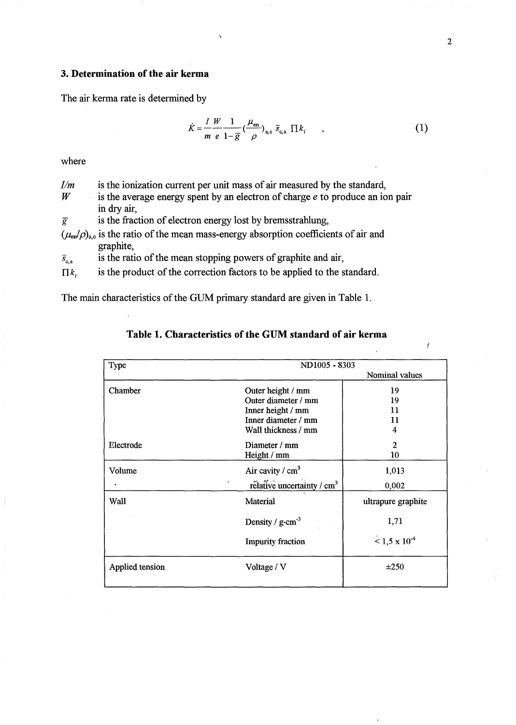### **3. Determination of the air kerma**

The air kerma rate is determined by

$$
\dot{K} = \frac{I}{m} \frac{W}{e} \frac{1}{1 - \overline{g}} \left(\frac{\mu_{\text{en}}}{\rho}\right)_{\text{a,c}} \overline{s}_{\text{c,a}} \Pi k_i \qquad , \qquad (1)
$$

where

| I/m             | is the ionization current per unit mass of air measured by the standard,                        |
|-----------------|-------------------------------------------------------------------------------------------------|
| W               | is the average energy spent by an electron of charge $e$ to produce an ion pair                 |
|                 | in dry air,                                                                                     |
| $\overline{g}$  | is the fraction of electron energy lost by bremsstrahlung,                                      |
|                 | $(\mu_{en}/\rho)_{a,c}$ is the ratio of the mean mass-energy absorption coefficients of air and |
|                 | graphite,                                                                                       |
| $\bar{s}_{c,a}$ | is the ratio of the mean stopping powers of graphite and air,                                   |
| $\Pi k$         | is the product of the correction factors to be applied to the standard.                         |

The main characteristics of the GUM primary standard are given in Table 1.

# **Table 1. Characteristics of the GUM standard of air kerma**

| Type            | ND1005 - 8303                          |                      |  |  |  |
|-----------------|----------------------------------------|----------------------|--|--|--|
|                 |                                        | Nominal values       |  |  |  |
| Chamber         | Outer height / mm                      | 19                   |  |  |  |
|                 | Outer diameter / mm                    | 19                   |  |  |  |
|                 | Inner height / mm                      | 11                   |  |  |  |
|                 | Inner diameter / mm                    | 11                   |  |  |  |
|                 | Wall thickness / mm                    | 4                    |  |  |  |
| Electrode       | Diameter / mm                          | $\mathfrak{p}$       |  |  |  |
|                 | Height / mm                            | 10                   |  |  |  |
| Volume          | Air cavity / $cm3$                     | 1,013                |  |  |  |
|                 | rélative uncertainty / cm <sup>3</sup> | 0,002                |  |  |  |
| Wall            | Material                               | ultrapure graphite   |  |  |  |
|                 | Density / $g \cdot cm^{-3}$            | 1,71                 |  |  |  |
|                 | <b>Impurity fraction</b>               | $1.5 \times 10^{-4}$ |  |  |  |
| Applied tension | Voltage / V                            | ±250                 |  |  |  |

I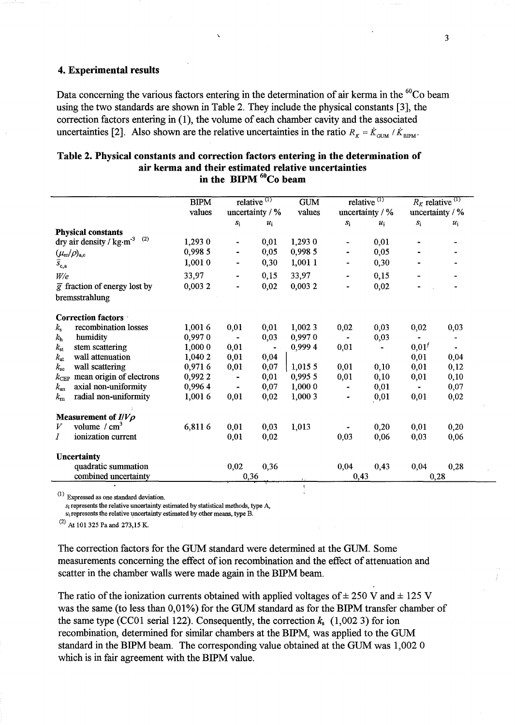#### 4. Experimental results

Data concerning the various factors entering in the determination of air kerma in the <sup>60</sup>Co beam using the two standards are shown in Table 2. They include the physical constants [3], the correction factors entering in (1), the volume of each chamber cavity and the associated uncertainties [2]. Also shown are the relative uncertainties in the ratio  $R_K = \dot{K}_{GUM} / \dot{K}_{BIPM}$ .

|                                                     | <b>BIPM</b> | relative $(1)$    |       | <b>GUM</b> |                              | relative <sup><math>(1)</math></sup> | $R_K$ relative <sup>(1)</sup> |       |  |
|-----------------------------------------------------|-------------|-------------------|-------|------------|------------------------------|--------------------------------------|-------------------------------|-------|--|
|                                                     | values      | uncertainty $/$ % |       | values     | uncertainty / %              |                                      | uncertainty / %               |       |  |
|                                                     |             | $S_1$             | $u_i$ |            | $S_1$                        | $u_i$                                | $S_1$                         | $u_i$ |  |
| <b>Physical constants</b>                           |             |                   |       |            |                              |                                      |                               |       |  |
| dry air density / $\text{kg}\cdot\text{m}^{-3}$ (2) | 1,293 0     | $\blacksquare$    | 0,01  | 1,293 0    | $\overline{\phantom{0}}$     | 0,01                                 |                               |       |  |
| $(\mu_{\text{\rm en}}/\rho)_{\text{a,c}}$           | 0,998 5     |                   | 0,05  | 0,998 5    |                              | 0,05                                 |                               |       |  |
| $\bar{s}_{\mathrm{c,a}}$                            | 1,0010      |                   | 0,30  | 1,001 1    |                              | 0,30                                 |                               |       |  |
| W/e                                                 | 33,97       |                   | 0,15  | 33,97      |                              | 0,15                                 |                               |       |  |
| $\overline{g}$ fraction of energy lost by           | 0,0032      |                   | 0,02  | 0,0032     |                              | 0,02                                 |                               |       |  |
| bremsstrahlung                                      |             |                   |       |            |                              |                                      |                               |       |  |
| <b>Correction factors</b>                           |             |                   |       |            |                              |                                      |                               |       |  |
| recombination losses<br>$k_{\rm s}$                 | 1,0016      | 0,01              | 0,01  | 1,002 3    | 0,02                         | 0,03                                 | 0,02                          | 0,03  |  |
| humidity<br>$k_{\rm h}$                             | 0,9970      | $\blacksquare$    | 0,03  | 0,9970     | ۰                            | 0,03                                 |                               |       |  |
| stem scattering<br>$k_{\rm st}$                     | 1,000 0     | 0,01              |       | 0,9994     | 0,01                         |                                      | 0,01'                         |       |  |
| wall attenuation<br>$k_{\rm at}$                    | 1,040 2     | 0,01              | 0,04  |            |                              |                                      | 0,01                          | 0,04  |  |
| wall scattering<br>$k_{\rm sc}$                     | 0,9716      | 0,01              | 0,07  | 1,0155     | 0,01                         | 0,10                                 | 0,01                          | 0,12  |  |
| mean origin of electrons<br>$k_{\rm CEP}$           | 0,9922      |                   | 0,01  | 0,995 5    | 0,01                         | 0,10                                 | 0,01                          | 0,10  |  |
| axial non-uniformity<br>$k_{\rm an}$                | 0,9964      |                   | 0,07  | 1,0000     | $\qquad \qquad \blacksquare$ | 0,01                                 |                               | 0,07  |  |
| radial non-uniformity<br>$k_{\rm m}$                | 1,0016      | 0,01              | 0,02  | 1,000 3    | $\blacksquare$               | 0,01                                 | 0,01                          | 0,02  |  |
| Measurement of $I/V\rho$                            |             |                   |       |            |                              |                                      |                               |       |  |
| volume $/m^3$                                       | 6,8116      | 0,01              | 0,03  | 1,013      |                              | 0,20                                 | 0,01                          | 0,20  |  |
| ionization current<br>Ι                             |             | 0,01              | 0,02  |            | 0,03                         | 0,06                                 | 0,03                          | 0,06  |  |
| <b>Uncertainty</b>                                  |             |                   |       |            |                              |                                      |                               |       |  |
| quadratic summation                                 |             | 0,02              | 0,36  |            | 0,04                         | 0,43                                 | 0,04                          | 0,28  |  |
| combined uncertainty                                |             | 0,36              |       | $4 - 1$    | 0,43                         |                                      |                               | 0,28  |  |

#### Table 2. Physical constants and correction factors entering in the determination of air kerma and their estimated relative uncertainties in the BIPM  ${}^{60}Co$  beam

(1) Expressed as one standard deviation.

 $s_i$  represents the relative uncertainty estimated by statistical methods, type A,

 $u_i$  represents the relative uncertainty estimated by other means, type B.

(2) At 101325 Paand 273,15 K.

The correction factors for the GUM standard were determined at the GUM. Some measurements concerning the effect of ion recombination and the effect of attenuation and scatter in the chamber walls were made again in the BIPM beam.

The ratio of the ionization currents obtained with applied voltages of  $\pm$  250 V and  $\pm$  125 V was the same (to less than 0,01%) for the GUM standard as for the BIPM transfer chamber of the same type (CC01 serial 122). Consequently, the correction  $k<sub>s</sub>$  (1,002 3) for ion recombination, determined for similar chambers at the BIPM, was applied to the GUM standard in the BIPM beam. The corresponding value obtained at the GUM was 1,002 0 which is in fair agreement with the BIPM value.

3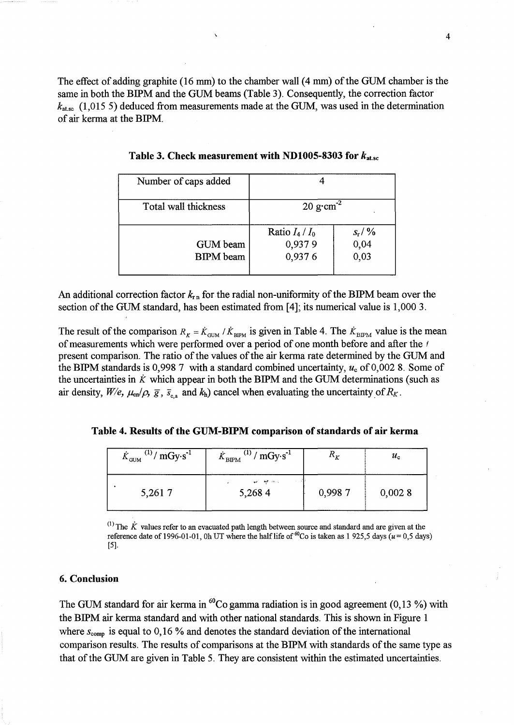The effect of adding graphite (16 mm) to the chamber wall (4 mm) of the GUM chamber is the same in both the BIPM and the GUM beams (Table 3). Consequently, the correction factor  $k_{\text{atsc}}$  (1,015 5) deduced from measurements made at the GUM, was used in the determination of air kerma at the BIPM.

| Number of caps added         |                                       |                                |  |  |  |
|------------------------------|---------------------------------------|--------------------------------|--|--|--|
| Total wall thickness         | $20 \text{ g} \cdot \text{cm}^{-2}$   |                                |  |  |  |
| GUM beam<br><b>BIPM</b> beam | Ratio $I_4 / I_0$<br>0,9379<br>0,9376 | $S_{\rm r}/\%$<br>0,04<br>0,03 |  |  |  |

Table 3. Check measurement with ND1005-8303 for  $k_{\text{atsc}}$ 

An additional correction factor  $k_{\text{r}n}$  for the radial non-uniformity of the BIPM beam over the section of the GUM standard, has been estimated from [4]; its numerical value is 1,000 3.

The result of the comparison  $R_K = \dot{K}_{GUM} / \dot{K}_{BIPM}$  is given in Table 4. The  $\dot{K}_{BIPM}$  value is the mean of measurements which were performed over a period of one month before and after the f present comparison. The ratio of the values of the air kerma rate determined by the GUM and the BIPM standards is 0,998 7 with a standard combined uncertainty,  $u_c$  of 0,002 8. Some of the uncertainties in  $\dot{K}$  which appear in both the BIPM and the GUM determinations (such as air density,  $W/e$ ,  $\mu_{en}/\rho$ ,  $\bar{g}$ ,  $\bar{s}_{c,a}$  and  $k_h$ ) cancel when evaluating the uncertainty of  $R_K$ .

|  |  |  |  |  |  |  | Table 4. Results of the GUM-BIPM comparison of standards of air kerma |  |  |  |  |  |
|--|--|--|--|--|--|--|-----------------------------------------------------------------------|--|--|--|--|--|
|--|--|--|--|--|--|--|-----------------------------------------------------------------------|--|--|--|--|--|

| $^{(1)}/mGy·s^{-1}$<br>$\dot{K}_{\rm GUM}$ | $\sim$ (1) / mGy·s <sup>-1</sup><br>${\dot K}_{\rm BIPM}$ | $R_K$  | $u_{\rm c}$ |
|--------------------------------------------|-----------------------------------------------------------|--------|-------------|
| 5,2617                                     | aver a light stress<br>5,2684                             | 0,9987 | 0,0028      |

 $^{(1)}$  The  $\dot{K}$  values refer to an evacuated path length between source and standard and are given at the reference date of 1996-01-01, Oh UT where the half life of  ${}^{60}$ Co is taken as 1 925,5 days ( $u = 0.5$  days) [5].

#### 6. Conclusion

The GUM standard for air kerma in  ${}^{60}Co$  gamma radiation is in good agreement (0,13 %) with the BIPM air kerma standard and with other national standards. This is shown in Figure 1 where  $s_{\text{comp}}$  is equal to 0,16 % and denotes the standard deviation of the international comparison results. The results of comparisons at the BIPM with standards of the same type as that of the GUM are given in Table 5. They are consistent within the estimated uncertainties.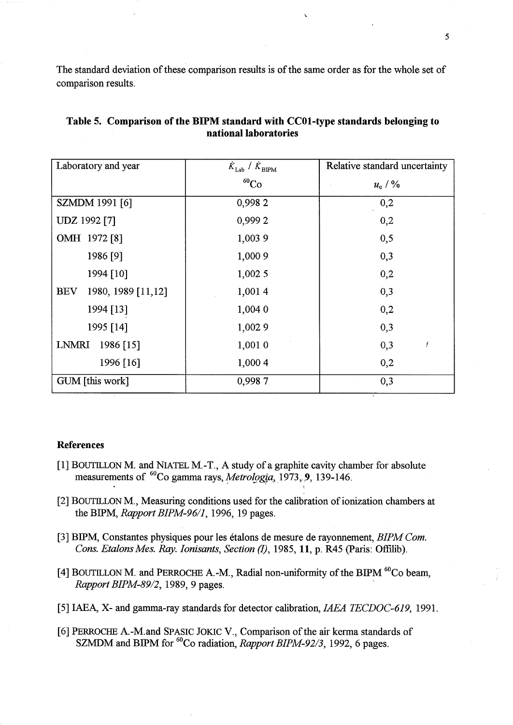The standard deviation of these comparison results is of the same order as for the whole set of comparison results.

| Laboratory and year              | $\dot{K}_\text{Lab}$ / $\dot{K}_\text{BIPM}$ | Relative standard uncertainty |
|----------------------------------|----------------------------------------------|-------------------------------|
|                                  | ${}^{60}Co$                                  | $u_{\rm c}$ / %               |
| SZMDM 1991 [6]                   | 0,9982                                       | 0,2                           |
| UDZ 1992 [7]                     | 0,9992                                       | 0,2                           |
| OMH 1972 [8]                     | 1,003 9                                      | 0,5                           |
| 1986 [9]                         | 1,000 9                                      | 0,3                           |
| 1994 [10]                        | 1,0025                                       | 0,2                           |
| 1980, 1989 [11,12]<br><b>BEV</b> | 1,0014                                       | 0,3                           |
| 1994 [13]                        | 1,004 0                                      | 0,2                           |
| 1995 [14]                        | 1,0029                                       | 0,3                           |
| LNMRI<br>1986 [15]               | 1,001 0                                      | 0,3<br>ţ                      |
| 1996 [16]                        | 1,000 4                                      | 0,2                           |
| GUM [this work]                  | 0,9987                                       | 0,3                           |

### **Table 5. Comparison** of the **BIPM standard with CCOl-type standards belonging to**  national laboratories

#### **References**

- [1] BOUTILLON M. and NIATEL M. -T., A study of a graphite cavity chamber for absolute measurements of <sup>60</sup>Co gamma rays, *Metrologia*, 1973, 9, 139-146.
- [2] BOUTILLON M., Measuring conditions used for the calibration of ionization chambers at the BIPM, *Rapport BIPM-9611,* 1996, 19 pages.
- [3] BIPM, Constantes physiques pour les etalons de mesure de rayonnement, *BIPM Corn. Cons. Etalons Mes. Ray. Ionisants, Section (1), 1985, 11, p. R45 (Paris: Offilib).*
- [4] BOUTILLON M. and PERROCHE A.-M., Radial non-uniformity of the BIPM <sup>60</sup>Co beam, *Rapport BIPM-89/2*, 1989, 9 pages.
- [5] IAEA, X- and gamma-ray standards for detector calibration, *IAEA TECDOC-619, 1991.*
- [6] PERROCHE A.-M.and SPASIC JOKIC V., Comparison of the air kerma standards of SZMDM and BIPM for <sup>60</sup>Co radiation, *Rapport BIPM-92/3*, 1992, 6 pages.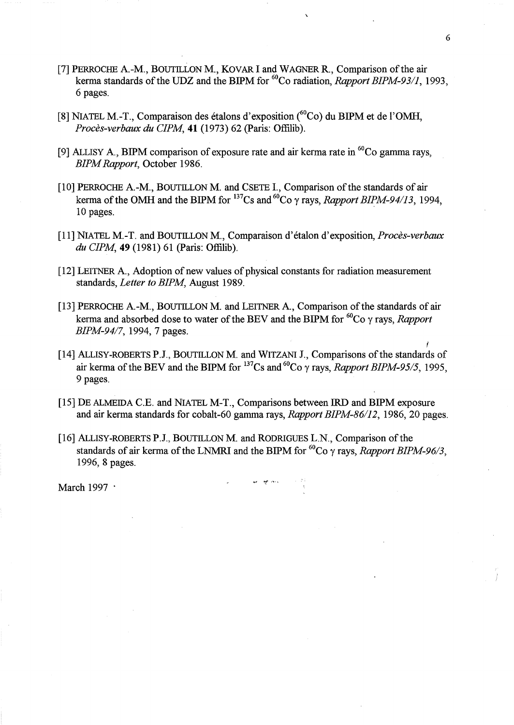- [7] PERROCHE A.-M., BOUTILLON M., KOVAR I and WAGNER R., Comparison of the air kerma standards of the UDZ and the BIPM for <sup>60</sup>Co radiation, *Rapport BIPM-93/1*, 1993, 6 pages.
- [8] NIATEL M.-T., Comparaison des étalons d'exposition (<sup>60</sup>Co) du BIPM et de l'OMH, *Proces-verbaux du CIPM,* **41** (1973) 62 (paris: Offilib).
- [9] ALLISY A., BIPM comparison of exposure rate and air kerma rate in  ${}^{60}Co$  gamma rays, *BIPM Rapport,* October 1986.
- [10] PERROCHE A-M., BOUTILLON M. and CSETE I., Comparison of the standards of air kerma of the OMH and the BIPM for  $^{137}Cs$  and  $^{60}Co$   $\gamma$  rays, *Rapport BIPM-94/13*, 1994, 10 pages.
- [11] NIATEL M.-T. and BOUTILLON M., Comparaison d'etalon d'exposition, *Proces-verbaux du CIPM,* **49** (1981) 61 (paris: Offilib).
- [12] LEITNER A., Adoption of new values of physical constants for radiation measurement standards, *Letter to BIPM,* August 1989.
- [13] PERROCHE A.-M., BOUTILLON M. and LEITNER A., Comparison of the standards of air kerma and absorbed dose to water of the BEV and the BIPM for  ${}^{60}Co$   $\gamma$  rays, *Rapport BIPM-94/7,* 1994,7 pages.
- f [14] ALLISY-ROBERTS P.J., BOUTILLON M. and WITZANI J., Comparisons of the standards of air kerma of the BEV and the BIPM for  $^{137}$ Cs and  $^{60}$ Co  $\gamma$  rays, *Rapport BIPM-95/5*, 1995, 9 pages.
- [15] DE ALMEIDA C.E. and NIATEL M-T., Comparisons between IRD and BIPM exposure and air kerma standards for cobalt-60 gamma rays, *Rapport BIPM-86/12,* 1986,20 pages.
- [16] ALLISY-ROBERTS P.l, BOUTILLON M. and RODRIGUES L.N., Comparison of the standards of air kerma of the LNMRI and the BIPM for  ${}^{60}Co$   $\gamma$  rays, *Rapport BIPM-96/3*, 1996, 8 pages.

March 1997 .